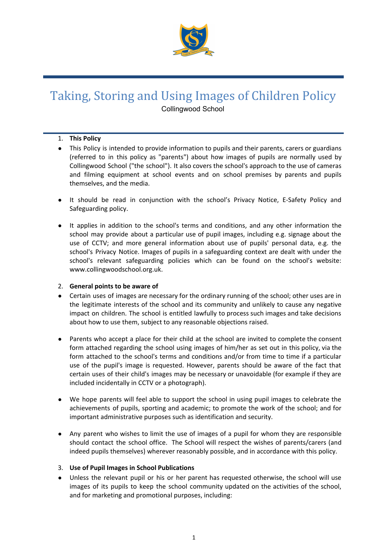

# Taking, Storing and Using Images of Children Policy

Collingwood School

# 1. **This Policy**

- This Policy is intended to provide information to pupils and their parents, carers or guardians (referred to in this policy as "parents") about how images of pupils are normally used by Collingwood School ("the school"). It also covers the school's approach to the use of cameras and filming equipment at school events and on school premises by parents and pupils themselves, and the media.
- It should be read in conjunction with the school's Privacy Notice, E-Safety Policy and Safeguarding policy.
- It applies in addition to the school's terms and conditions, and any other information the school may provide about a particular use of pupil images, including e.g. signage about the use of CCTV; and more general information about use of pupils' personal data, e.g. the school's Privacy Notice. Images of pupils in a safeguarding context are dealt with under the school's relevant safeguarding policies which can be found on the school's website: www.collingwoodschool.org.uk.

# 2. **General points to be aware of**

- Certain uses of images are necessary for the ordinary running of the school; other uses are in the legitimate interests of the school and its community and unlikely to cause any negative impact on children. The school is entitled lawfully to process such images and take decisions about how to use them, subject to any reasonable objections raised.
- Parents who accept a place for their child at the school are invited to complete the consent form attached regarding the school using images of him/her as set out in this policy, via the form attached to the school's terms and conditions and/or from time to time if a particular use of the pupil's image is requested. However, parents should be aware of the fact that certain uses of their child's images may be necessary or unavoidable (for example if they are included incidentally in CCTV or a photograph).
- We hope parents will feel able to support the school in using pupil images to celebrate the achievements of pupils, sporting and academic; to promote the work of the school; and for important administrative purposes such as identification and security.
- Any parent who wishes to limit the use of images of a pupil for whom they are responsible should contact the school office. The School will respect the wishes of parents/carers (and indeed pupils themselves) wherever reasonably possible, and in accordance with this policy.

# 3. **Use of Pupil Images in School Publications**

Unless the relevant pupil or his or her parent has requested otherwise, the school will use images of its pupils to keep the school community updated on the activities of the school, and for marketing and promotional purposes, including: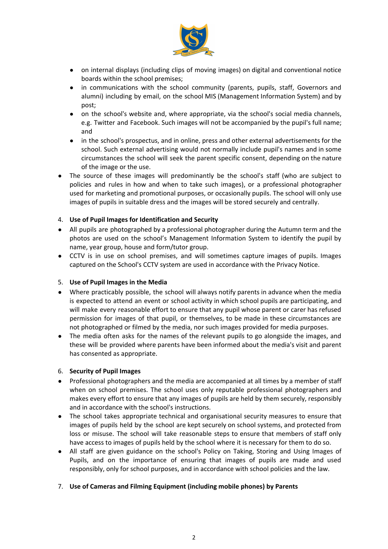

- on internal displays (including clips of moving images) on digital and conventional notice boards within the school premises;
- in communications with the school community (parents, pupils, staff, Governors and alumni) including by email, on the school MIS (Management Information System) and by post;
- on the school's website and, where appropriate, via the school's social media channels, e.g. Twitter and Facebook. Such images will not be accompanied by the pupil's full name; and
- in the school's prospectus, and in online, press and other external advertisements for the school. Such external advertising would not normally include pupil's names and in some circumstances the school will seek the parent specific consent, depending on the nature of the image or the use.
- The source of these images will predominantly be the school's staff (who are subject to policies and rules in how and when to take such images), or a professional photographer used for marketing and promotional purposes, or occasionally pupils. The school will only use images of pupils in suitable dress and the images will be stored securely and centrally.

## 4. **Use of Pupil Images for Identification and Security**

- All pupils are photographed by a professional photographer during the Autumn term and the photos are used on the school's Management Information System to identify the pupil by name, year group, house and form/tutor group.
- CCTV is in use on school premises, and will sometimes capture images of pupils. Images captured on the School's CCTV system are used in accordance with the Privacy Notice.

### 5. **Use of Pupil Images in the Media**

- Where practicably possible, the school will always notify parents in advance when the media is expected to attend an event or school activity in which school pupils are participating, and will make every reasonable effort to ensure that any pupil whose parent or carer has refused permission for images of that pupil, or themselves, to be made in these circumstances are not photographed or filmed by the media, nor such images provided for media purposes.
- The media often asks for the names of the relevant pupils to go alongside the images, and these will be provided where parents have been informed about the media's visit and parent has consented as appropriate.

# 6. **Security of Pupil Images**

- Professional photographers and the media are accompanied at all times by a member of staff when on school premises. The school uses only reputable professional photographers and makes every effort to ensure that any images of pupils are held by them securely, responsibly and in accordance with the school's instructions.
- The school takes appropriate technical and organisational security measures to ensure that images of pupils held by the school are kept securely on school systems, and protected from loss or misuse. The school will take reasonable steps to ensure that members of staff only have access to images of pupils held by the school where it is necessary for them to do so.
- All staff are given guidance on the school's Policy on Taking, Storing and Using Images of Pupils, and on the importance of ensuring that images of pupils are made and used responsibly, only for school purposes, and in accordance with school policies and the law.

### 7. **Use of Cameras and Filming Equipment (including mobile phones) by Parents**